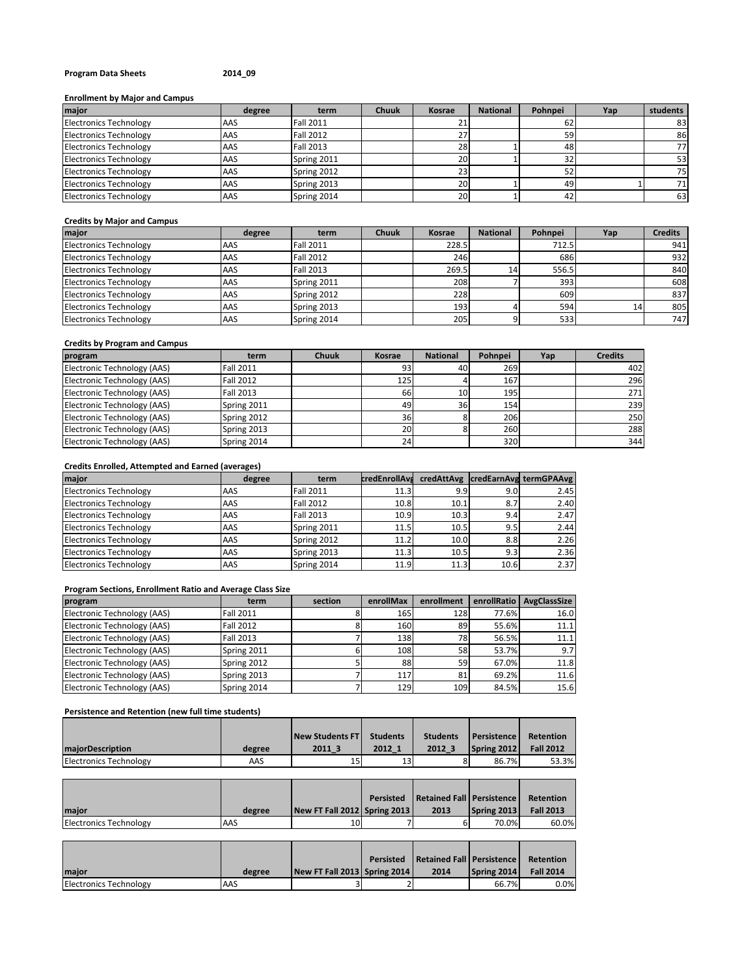## **Program Data Sheets 2014\_09**

## **Enrollment by Major and Campus**

| major                         | degree | term             | Chuuk | Kosrae    | <b>National</b> | Pohnpei | Yap | students |
|-------------------------------|--------|------------------|-------|-----------|-----------------|---------|-----|----------|
| <b>Electronics Technology</b> | AAS    | <b>Fall 2011</b> |       | 41        |                 | 62      |     | 83       |
| <b>Electronics Technology</b> | AAS    | <b>Fall 2012</b> |       | 27        |                 | 59      |     | 86       |
| <b>Electronics Technology</b> | AAS    | <b>Fall 2013</b> |       | 28        |                 | 48      |     | 77.      |
| <b>Electronics Technology</b> | AAS    | Spring 2011      |       | 20        |                 | 32      |     | 53       |
| <b>Electronics Technology</b> | AAS    | Spring 2012      |       | 23        |                 | 52      |     | 75       |
| <b>Electronics Technology</b> | AAS    | Spring 2013      |       | 20        |                 | 49      |     | 711      |
| <b>Electronics Technology</b> | AAS    | Spring 2014      |       | <b>20</b> |                 | 42      |     | 63       |

#### **Credits by Major and Campus**

| major                         | degree | term             | <b>Chuuk</b> | Kosrae | <b>National</b> | Pohnpei | Yap | <b>Credits</b> |
|-------------------------------|--------|------------------|--------------|--------|-----------------|---------|-----|----------------|
| <b>Electronics Technology</b> | AAS    | <b>Fall 2011</b> |              | 228.5  |                 | 712.5   |     | 941            |
| <b>Electronics Technology</b> | AAS    | <b>Fall 2012</b> |              | 246    |                 | 686     |     | 932            |
| <b>Electronics Technology</b> | AAS    | <b>Fall 2013</b> |              | 269.5  | 14              | 556.5   |     | 840            |
| <b>Electronics Technology</b> | AAS    | Spring 2011      |              | 208    |                 | 393     |     | 608            |
| <b>Electronics Technology</b> | AAS    | Spring 2012      |              | 228    |                 | 609     |     | 837            |
| <b>Electronics Technology</b> | AAS    | Spring 2013      |              | 193    |                 | 594     | 14  | 805            |
| <b>Electronics Technology</b> | AAS    | Spring 2014      |              | 205    |                 | 533     |     | 747            |

## **Credits by Program and Campus**

| program                     | term             | <b>Chuuk</b> | Kosrae | <b>National</b> | Pohnpei | Yap | <b>Credits</b> |
|-----------------------------|------------------|--------------|--------|-----------------|---------|-----|----------------|
| Electronic Technology (AAS) | <b>Fall 2011</b> |              | 93     | 40              | 269     |     | 402            |
| Electronic Technology (AAS) | <b>Fall 2012</b> |              | 125    |                 | 167     |     | 296            |
| Electronic Technology (AAS) | Fall 2013        |              | 66     | 10 <sup>1</sup> | 195     |     | 271            |
| Electronic Technology (AAS) | Spring 2011      |              | 49     | 36              | 154     |     | 239            |
| Electronic Technology (AAS) | Spring 2012      |              | 36     |                 | 206     |     | 250            |
| Electronic Technology (AAS) | Spring 2013      |              | 20     |                 | 260     |     | 288            |
| Electronic Technology (AAS) | Spring 2014      |              | 24     |                 | 320     |     | 344            |

# **Credits Enrolled, Attempted and Earned (averages)**

| major                         | degree | term             | <b>credEnrollAva</b> |      |                  | credAttAvg   credEarnAvg termGPAAvg |
|-------------------------------|--------|------------------|----------------------|------|------------------|-------------------------------------|
| <b>Electronics Technology</b> | AAS    | <b>Fall 2011</b> | 11.3                 | 9.9  | 9.0 <sub>l</sub> | 2.45                                |
| <b>Electronics Technology</b> | AAS    | <b>Fall 2012</b> | 10.8                 | 10.1 | 8.7              | 2.40                                |
| <b>Electronics Technology</b> | AAS    | Fall 2013        | 10.9                 | 10.3 | 9.4              | 2.47                                |
| <b>Electronics Technology</b> | AAS    | Spring 2011      | 11.5                 | 10.5 | 9.5              | 2.44                                |
| <b>Electronics Technology</b> | AAS    | Spring 2012      | 11.2                 | 10.0 | 8.8              | 2.26                                |
| <b>Electronics Technology</b> | AAS    | Spring 2013      | 11.3                 | 10.5 | 9.3              | 2.36                                |
| <b>Electronics Technology</b> | AAS    | Spring 2014      | 11.9                 | 11.3 | 10.6             | 2.37                                |

# **Program Sections, Enrollment Ratio and Average Class Size**

| program                     | term             | section | enrollMax | enrollment | enrollRatio | <b>AvgClassSize</b> |
|-----------------------------|------------------|---------|-----------|------------|-------------|---------------------|
| Electronic Technology (AAS) | <b>Fall 2011</b> |         | 165       | 128        | 77.6%       | 16.0                |
| Electronic Technology (AAS) | <b>Fall 2012</b> |         | 160       | 89         | 55.6%       | 11.1                |
| Electronic Technology (AAS) | <b>Fall 2013</b> |         | 138       | 78         | 56.5%       | 11.1                |
| Electronic Technology (AAS) | Spring 2011      |         | 108       | 58         | 53.7%       | 9.7                 |
| Electronic Technology (AAS) | Spring 2012      |         | 88        | 59         | 67.0%       | 11.8                |
| Electronic Technology (AAS) | Spring 2013      |         | 117       | 81         | 69.2%       | 11.6                |
| Electronic Technology (AAS) | Spring 2014      |         | 129       | 109        | 84.5%       | 15.6                |

## **Persistence and Retention (new full time students)**

|                               |        | New Students FT | <b>Students</b> | <b>Students</b> | Persistence | Retention        |
|-------------------------------|--------|-----------------|-----------------|-----------------|-------------|------------------|
| <b>majorDescription</b>       | degree | 2011            | 2012 1          | 2012 3          | Spring 2012 | <b>Fall 2012</b> |
| <b>Electronics Technology</b> | AAS    | 15              | 13              |                 | 86.7%       | 53.3%            |

| maior                  | degree | New FT Fall 2012 Spring 2013 | Persisted | Retained Fall   Persistence<br>2013 | Spring 2013 | Retention<br><b>Fall 2013</b> |
|------------------------|--------|------------------------------|-----------|-------------------------------------|-------------|-------------------------------|
|                        |        |                              |           |                                     |             |                               |
| Electronics Technology | AAS    | 10                           |           |                                     | 70.0%       | 60.0%                         |

|                               |        |                              | Persisted | Retained Fall   Persistence |             | Retention        |
|-------------------------------|--------|------------------------------|-----------|-----------------------------|-------------|------------------|
| <b>Imaior</b>                 | degree | New FT Fall 2013 Spring 2014 |           | 2014                        | Spring 2014 | <b>Fall 2014</b> |
| <b>Electronics Technology</b> | AAS    |                              |           |                             | 66.7%       | $0.0\%$          |